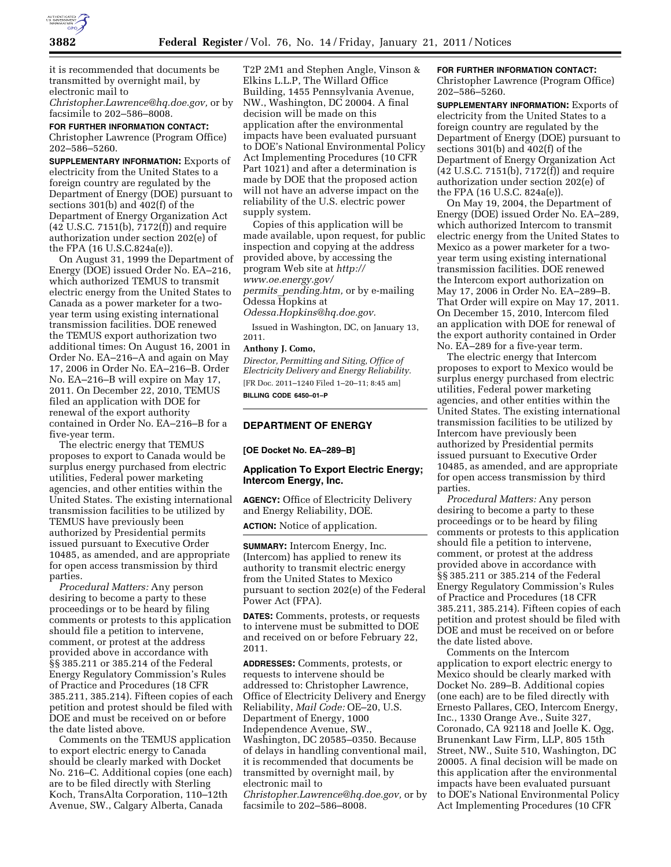

it is recommended that documents be transmitted by overnight mail, by electronic mail to

*[Christopher.Lawrence@hq.doe.gov,](mailto:Christopher.Lawrence@hq.doe.gov)* or by facsimile to 202–586–8008.

**FOR FURTHER INFORMATION CONTACT:**  Christopher Lawrence (Program Office) 202–586–5260.

**SUPPLEMENTARY INFORMATION:** Exports of electricity from the United States to a foreign country are regulated by the Department of Energy (DOE) pursuant to sections 301(b) and 402(f) of the Department of Energy Organization Act (42 U.S.C. 7151(b), 7172(f)) and require authorization under section 202(e) of the FPA (16 U.S.C.824a(e)).

On August 31, 1999 the Department of Energy (DOE) issued Order No. EA–216, which authorized TEMUS to transmit electric energy from the United States to Canada as a power marketer for a twoyear term using existing international transmission facilities. DOE renewed the TEMUS export authorization two additional times: On August 16, 2001 in Order No. EA–216–A and again on May 17, 2006 in Order No. EA–216–B. Order No. EA–216–B will expire on May 17, 2011. On December 22, 2010, TEMUS filed an application with DOE for renewal of the export authority contained in Order No. EA–216–B for a five-year term.

The electric energy that TEMUS proposes to export to Canada would be surplus energy purchased from electric utilities, Federal power marketing agencies, and other entities within the United States. The existing international transmission facilities to be utilized by TEMUS have previously been authorized by Presidential permits issued pursuant to Executive Order 10485, as amended, and are appropriate for open access transmission by third parties.

*Procedural Matters:* Any person desiring to become a party to these proceedings or to be heard by filing comments or protests to this application should file a petition to intervene, comment, or protest at the address provided above in accordance with §§ 385.211 or 385.214 of the Federal Energy Regulatory Commission's Rules of Practice and Procedures (18 CFR 385.211, 385.214). Fifteen copies of each petition and protest should be filed with DOE and must be received on or before the date listed above.

Comments on the TEMUS application to export electric energy to Canada should be clearly marked with Docket No. 216–C. Additional copies (one each) are to be filed directly with Sterling Koch, TransAlta Corporation, 110–12th Avenue, SW., Calgary Alberta, Canada

T2P 2M1 and Stephen Angle, Vinson & Elkins L.L.P, The Willard Office Building, 1455 Pennsylvania Avenue, NW., Washington, DC 20004. A final decision will be made on this application after the environmental impacts have been evaluated pursuant to DOE's National Environmental Policy Act Implementing Procedures (10 CFR Part 1021) and after a determination is made by DOE that the proposed action will not have an adverse impact on the reliability of the U.S. electric power supply system.

Copies of this application will be made available, upon request, for public inspection and copying at the address provided above, by accessing the program Web site at *[http://](http://www.oe.energy.gov/permits_pending.htm) [www.oe.energy.gov/](http://www.oe.energy.gov/permits_pending.htm) permits*\_*[pending.htm,](http://www.oe.energy.gov/permits_pending.htm)* or by e-mailing Odessa Hopkins at

*[Odessa.Hopkins@hq.doe.gov.](mailto:Odessa.Hopkins@hq.doe.gov)* 

Issued in Washington, DC, on January 13, 2011.

### **Anthony J. Como,**

*Director, Permitting and Siting, Office of Electricity Delivery and Energy Reliability.*  [FR Doc. 2011–1240 Filed 1–20–11; 8:45 am] **BILLING CODE 6450–01–P** 

### **DEPARTMENT OF ENERGY**

### **[OE Docket No. EA–289–B]**

## **Application To Export Electric Energy; Intercom Energy, Inc.**

**AGENCY:** Office of Electricity Delivery and Energy Reliability, DOE.

**ACTION:** Notice of application.

**SUMMARY:** Intercom Energy, Inc. (Intercom) has applied to renew its authority to transmit electric energy from the United States to Mexico pursuant to section 202(e) of the Federal Power Act (FPA).

**DATES:** Comments, protests, or requests to intervene must be submitted to DOE and received on or before February 22, 2011.

**ADDRESSES:** Comments, protests, or requests to intervene should be addressed to: Christopher Lawrence, Office of Electricity Delivery and Energy Reliability, *Mail Code:* OE–20, U.S. Department of Energy, 1000 Independence Avenue, SW., Washington, DC 20585–0350. Because of delays in handling conventional mail, it is recommended that documents be transmitted by overnight mail, by electronic mail to *[Christopher.Lawrence@hq.doe.gov,](mailto:Christopher.Lawrence@hq.doe.gov)* or by facsimile to 202–586–8008.

# **FOR FURTHER INFORMATION CONTACT:**

Christopher Lawrence (Program Office) 202–586–5260.

**SUPPLEMENTARY INFORMATION:** Exports of electricity from the United States to a foreign country are regulated by the Department of Energy (DOE) pursuant to sections 301(b) and 402(f) of the Department of Energy Organization Act (42 U.S.C. 7151(b), 7172(f)) and require authorization under section 202(e) of the FPA (16 U.S.C. 824a(e)).

On May 19, 2004, the Department of Energy (DOE) issued Order No. EA–289, which authorized Intercom to transmit electric energy from the United States to Mexico as a power marketer for a twoyear term using existing international transmission facilities. DOE renewed the Intercom export authorization on May 17, 2006 in Order No. EA–289–B. That Order will expire on May 17, 2011. On December 15, 2010, Intercom filed an application with DOE for renewal of the export authority contained in Order No. EA–289 for a five-year term.

The electric energy that Intercom proposes to export to Mexico would be surplus energy purchased from electric utilities, Federal power marketing agencies, and other entities within the United States. The existing international transmission facilities to be utilized by Intercom have previously been authorized by Presidential permits issued pursuant to Executive Order 10485, as amended, and are appropriate for open access transmission by third parties.

*Procedural Matters:* Any person desiring to become a party to these proceedings or to be heard by filing comments or protests to this application should file a petition to intervene, comment, or protest at the address provided above in accordance with §§ 385.211 or 385.214 of the Federal Energy Regulatory Commission's Rules of Practice and Procedures (18 CFR 385.211, 385.214). Fifteen copies of each petition and protest should be filed with DOE and must be received on or before the date listed above.

Comments on the Intercom application to export electric energy to Mexico should be clearly marked with Docket No. 289–B. Additional copies (one each) are to be filed directly with Ernesto Pallares, CEO, Intercom Energy, Inc., 1330 Orange Ave., Suite 327, Coronado, CA 92118 and Joelle K. Ogg, Brunenkant Law Firm, LLP, 805 15th Street, NW., Suite 510, Washington, DC 20005. A final decision will be made on this application after the environmental impacts have been evaluated pursuant to DOE's National Environmental Policy Act Implementing Procedures (10 CFR